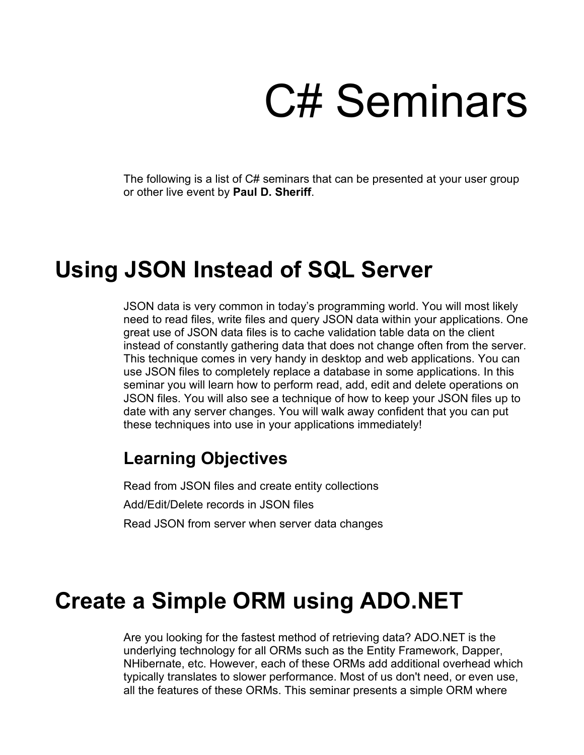# C# Seminars

The following is a list of C# seminars that can be presented at your user group or other live event by **Paul D. Sheriff**.

## **Using JSON Instead of SQL Server**

JSON data is very common in today's programming world. You will most likely need to read files, write files and query JSON data within your applications. One great use of JSON data files is to cache validation table data on the client instead of constantly gathering data that does not change often from the server. This technique comes in very handy in desktop and web applications. You can use JSON files to completely replace a database in some applications. In this seminar you will learn how to perform read, add, edit and delete operations on JSON files. You will also see a technique of how to keep your JSON files up to date with any server changes. You will walk away confident that you can put these techniques into use in your applications immediately!

#### **Learning Objectives**

Read from JSON files and create entity collections Add/Edit/Delete records in JSON files Read JSON from server when server data changes

## **Create a Simple ORM using ADO.NET**

Are you looking for the fastest method of retrieving data? ADO.NET is the underlying technology for all ORMs such as the Entity Framework, Dapper, NHibernate, etc. However, each of these ORMs add additional overhead which typically translates to slower performance. Most of us don't need, or even use, all the features of these ORMs. This seminar presents a simple ORM where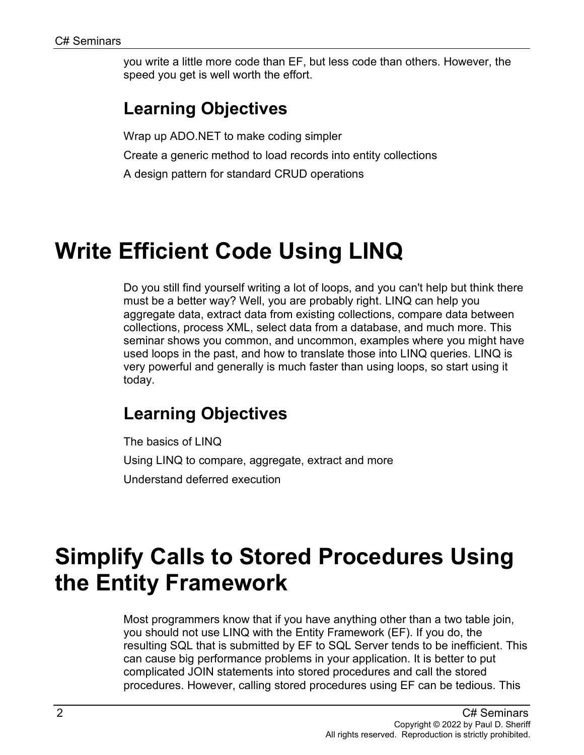you write a little more code than EF, but less code than others. However, the speed you get is well worth the effort.

#### **Learning Objectives**

Wrap up ADO.NET to make coding simpler

Create a generic method to load records into entity collections

A design pattern for standard CRUD operations

## **Write Efficient Code Using LINQ**

Do you still find yourself writing a lot of loops, and you can't help but think there must be a better way? Well, you are probably right. LINQ can help you aggregate data, extract data from existing collections, compare data between collections, process XML, select data from a database, and much more. This seminar shows you common, and uncommon, examples where you might have used loops in the past, and how to translate those into LINQ queries. LINQ is very powerful and generally is much faster than using loops, so start using it today.

#### **Learning Objectives**

The basics of LINQ Using LINQ to compare, aggregate, extract and more Understand deferred execution

## **Simplify Calls to Stored Procedures Using the Entity Framework**

Most programmers know that if you have anything other than a two table join, you should not use LINQ with the Entity Framework (EF). If you do, the resulting SQL that is submitted by EF to SQL Server tends to be inefficient. This can cause big performance problems in your application. It is better to put complicated JOIN statements into stored procedures and call the stored procedures. However, calling stored procedures using EF can be tedious. This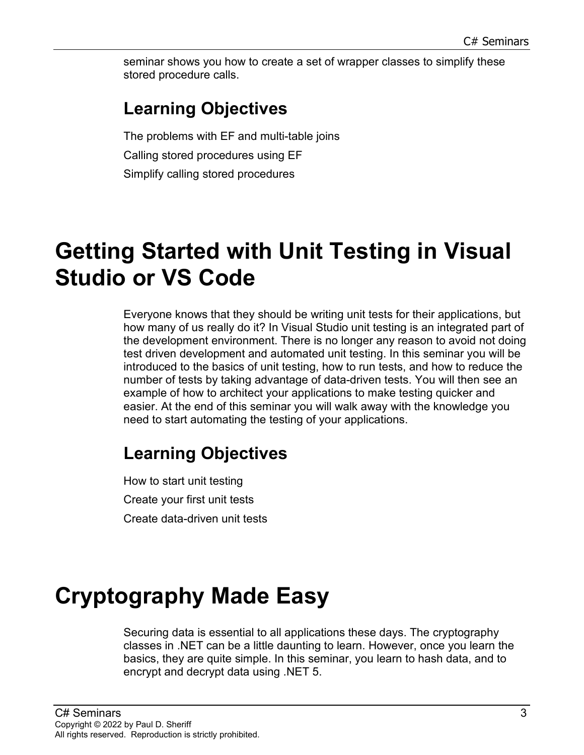seminar shows you how to create a set of wrapper classes to simplify these stored procedure calls.

## **Learning Objectives**

The problems with EF and multi-table joins Calling stored procedures using EF Simplify calling stored procedures

## **Getting Started with Unit Testing in Visual Studio or VS Code**

Everyone knows that they should be writing unit tests for their applications, but how many of us really do it? In Visual Studio unit testing is an integrated part of the development environment. There is no longer any reason to avoid not doing test driven development and automated unit testing. In this seminar you will be introduced to the basics of unit testing, how to run tests, and how to reduce the number of tests by taking advantage of data-driven tests. You will then see an example of how to architect your applications to make testing quicker and easier. At the end of this seminar you will walk away with the knowledge you need to start automating the testing of your applications.

## **Learning Objectives**

How to start unit testing Create your first unit tests Create data-driven unit tests

## **Cryptography Made Easy**

Securing data is essential to all applications these days. The cryptography classes in .NET can be a little daunting to learn. However, once you learn the basics, they are quite simple. In this seminar, you learn to hash data, and to encrypt and decrypt data using .NET 5.